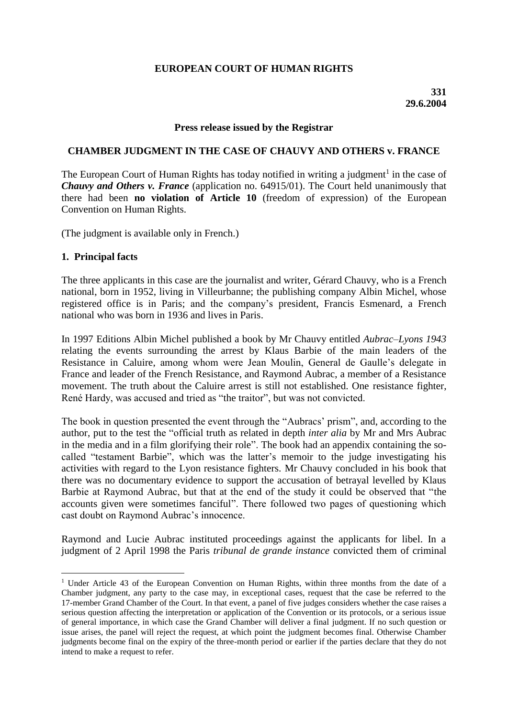# **EUROPEAN COURT OF HUMAN RIGHTS**

#### **Press release issued by the Registrar**

### **CHAMBER JUDGMENT IN THE CASE OF CHAUVY AND OTHERS v. FRANCE**

The European Court of Human Rights has today notified in writing a judgment<sup>1</sup> in the case of *Chauvy and Others v. France* (application no. 64915/01). The Court held unanimously that there had been **no violation of Article 10** (freedom of expression) of the European Convention on Human Rights.

(The judgment is available only in French.)

### **1. Principal facts**

1

The three applicants in this case are the journalist and writer, Gérard Chauvy, who is a French national, born in 1952, living in Villeurbanne; the publishing company Albin Michel, whose registered office is in Paris; and the company's president, Francis Esmenard, a French national who was born in 1936 and lives in Paris.

In 1997 Editions Albin Michel published a book by Mr Chauvy entitled *Aubrac–Lyons 1943* relating the events surrounding the arrest by Klaus Barbie of the main leaders of the Resistance in Caluire, among whom were Jean Moulin, General de Gaulle's delegate in France and leader of the French Resistance, and Raymond Aubrac, a member of a Resistance movement. The truth about the Caluire arrest is still not established. One resistance fighter, René Hardy, was accused and tried as "the traitor", but was not convicted.

The book in question presented the event through the "Aubracs' prism", and, according to the author, put to the test the "official truth as related in depth *inter alia* by Mr and Mrs Aubrac in the media and in a film glorifying their role". The book had an appendix containing the socalled "testament Barbie", which was the latter's memoir to the judge investigating his activities with regard to the Lyon resistance fighters. Mr Chauvy concluded in his book that there was no documentary evidence to support the accusation of betrayal levelled by Klaus Barbie at Raymond Aubrac, but that at the end of the study it could be observed that "the accounts given were sometimes fanciful". There followed two pages of questioning which cast doubt on Raymond Aubrac's innocence.

Raymond and Lucie Aubrac instituted proceedings against the applicants for libel. In a judgment of 2 April 1998 the Paris *tribunal de grande instance* convicted them of criminal

<sup>&</sup>lt;sup>1</sup> Under Article 43 of the European Convention on Human Rights, within three months from the date of a Chamber judgment, any party to the case may, in exceptional cases, request that the case be referred to the 17-member Grand Chamber of the Court. In that event, a panel of five judges considers whether the case raises a serious question affecting the interpretation or application of the Convention or its protocols, or a serious issue of general importance, in which case the Grand Chamber will deliver a final judgment. If no such question or issue arises, the panel will reject the request, at which point the judgment becomes final. Otherwise Chamber judgments become final on the expiry of the three-month period or earlier if the parties declare that they do not intend to make a request to refer.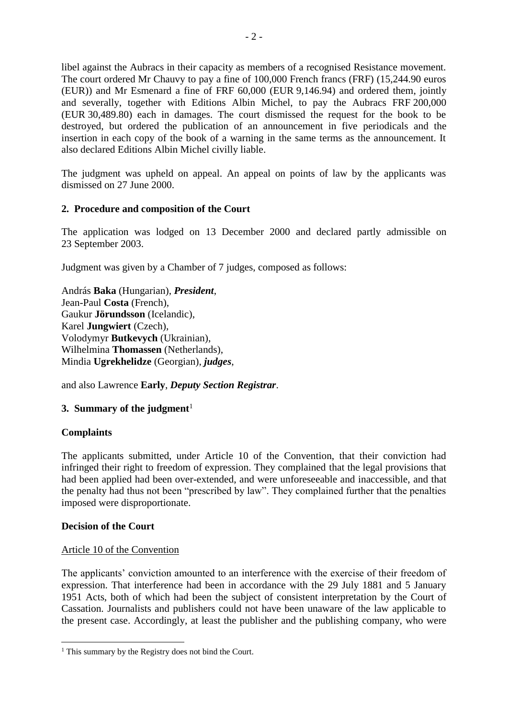libel against the Aubracs in their capacity as members of a recognised Resistance movement. The court ordered Mr Chauvy to pay a fine of 100,000 French francs (FRF) (15,244.90 euros (EUR)) and Mr Esmenard a fine of FRF 60,000 (EUR 9,146.94) and ordered them, jointly and severally, together with Editions Albin Michel, to pay the Aubracs FRF 200,000 (EUR 30,489.80) each in damages. The court dismissed the request for the book to be destroyed, but ordered the publication of an announcement in five periodicals and the insertion in each copy of the book of a warning in the same terms as the announcement. It also declared Editions Albin Michel civilly liable.

The judgment was upheld on appeal. An appeal on points of law by the applicants was dismissed on 27 June 2000.

## **2. Procedure and composition of the Court**

The application was lodged on 13 December 2000 and declared partly admissible on 23 September 2003.

Judgment was given by a Chamber of 7 judges, composed as follows:

András **Baka** (Hungarian), *President*, Jean-Paul **Costa** (French), Gaukur **Jörundsson** (Icelandic), Karel **Jungwiert** (Czech), Volodymyr **Butkevych** (Ukrainian), Wilhelmina **Thomassen** (Netherlands), Mindia **Ugrekhelidze** (Georgian), *judges*,

and also Lawrence **Early**, *Deputy Section Registrar*.

# **3. Summary of the judgment**<sup>1</sup>

## **Complaints**

<u>.</u>

The applicants submitted, under Article 10 of the Convention, that their conviction had infringed their right to freedom of expression. They complained that the legal provisions that had been applied had been over-extended, and were unforeseeable and inaccessible, and that the penalty had thus not been "prescribed by law". They complained further that the penalties imposed were disproportionate.

## **Decision of the Court**

## Article 10 of the Convention

The applicants' conviction amounted to an interference with the exercise of their freedom of expression. That interference had been in accordance with the 29 July 1881 and 5 January 1951 Acts, both of which had been the subject of consistent interpretation by the Court of Cassation. Journalists and publishers could not have been unaware of the law applicable to the present case. Accordingly, at least the publisher and the publishing company, who were

 $<sup>1</sup>$  This summary by the Registry does not bind the Court.</sup>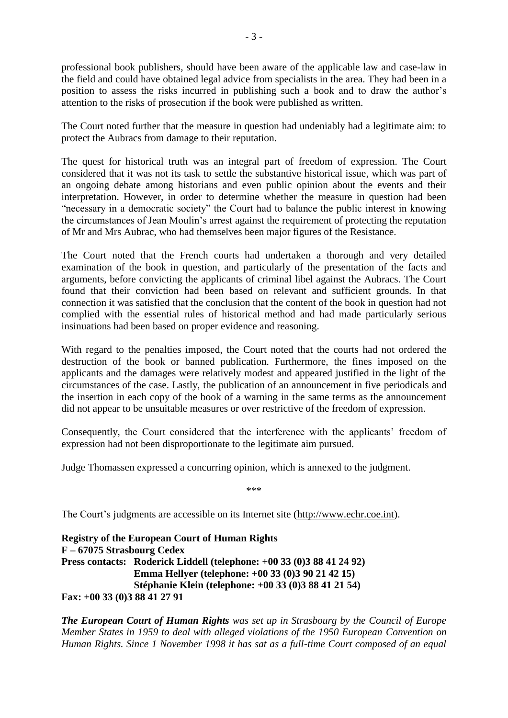professional book publishers, should have been aware of the applicable law and case-law in the field and could have obtained legal advice from specialists in the area. They had been in a position to assess the risks incurred in publishing such a book and to draw the author's attention to the risks of prosecution if the book were published as written.

The Court noted further that the measure in question had undeniably had a legitimate aim: to protect the Aubracs from damage to their reputation.

The quest for historical truth was an integral part of freedom of expression. The Court considered that it was not its task to settle the substantive historical issue, which was part of an ongoing debate among historians and even public opinion about the events and their interpretation. However, in order to determine whether the measure in question had been "necessary in a democratic society" the Court had to balance the public interest in knowing the circumstances of Jean Moulin's arrest against the requirement of protecting the reputation of Mr and Mrs Aubrac, who had themselves been major figures of the Resistance.

The Court noted that the French courts had undertaken a thorough and very detailed examination of the book in question, and particularly of the presentation of the facts and arguments, before convicting the applicants of criminal libel against the Aubracs. The Court found that their conviction had been based on relevant and sufficient grounds. In that connection it was satisfied that the conclusion that the content of the book in question had not complied with the essential rules of historical method and had made particularly serious insinuations had been based on proper evidence and reasoning.

With regard to the penalties imposed, the Court noted that the courts had not ordered the destruction of the book or banned publication. Furthermore, the fines imposed on the applicants and the damages were relatively modest and appeared justified in the light of the circumstances of the case. Lastly, the publication of an announcement in five periodicals and the insertion in each copy of the book of a warning in the same terms as the announcement did not appear to be unsuitable measures or over restrictive of the freedom of expression.

Consequently, the Court considered that the interference with the applicants' freedom of expression had not been disproportionate to the legitimate aim pursued.

Judge Thomassen expressed a concurring opinion, which is annexed to the judgment.

\*\*\*

The Court's judgments are accessible on its Internet site (http://www.echr.coe.int).

**Registry of the European Court of Human Rights F – 67075 Strasbourg Cedex Press contacts: Roderick Liddell (telephone: +00 33 (0)3 88 41 24 92) Emma Hellyer (telephone: +00 33 (0)3 90 21 42 15) Stéphanie Klein (telephone: +00 33 (0)3 88 41 21 54) Fax: +00 33 (0)3 88 41 27 91**

*The European Court of Human Rights was set up in Strasbourg by the Council of Europe Member States in 1959 to deal with alleged violations of the 1950 European Convention on Human Rights. Since 1 November 1998 it has sat as a full-time Court composed of an equal*